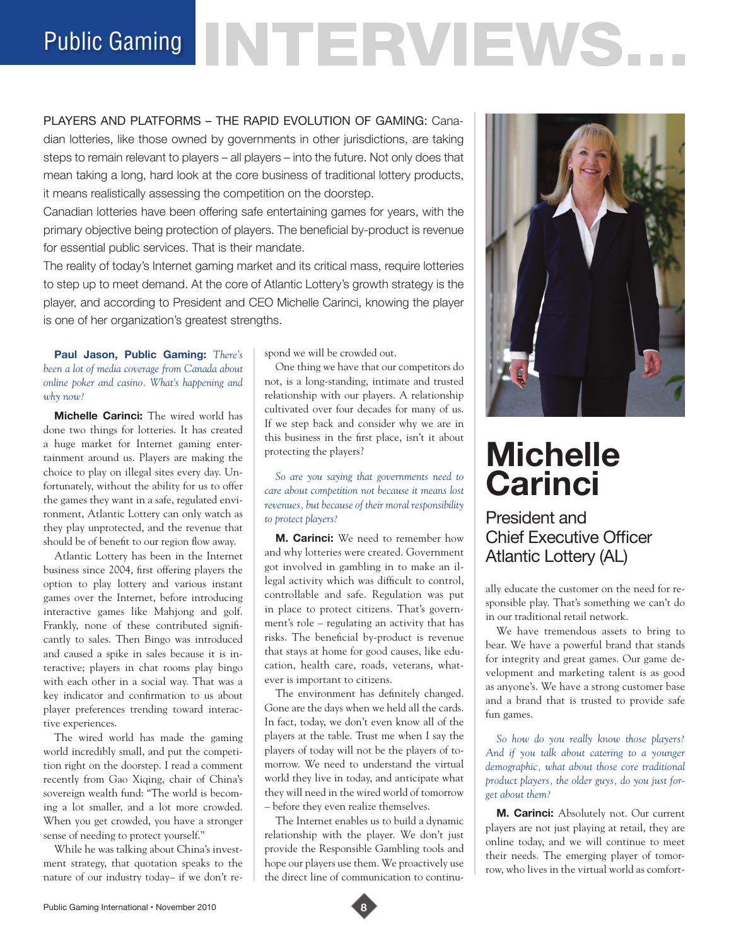# Public Gaming NTERVIEWS.

PLAYERS AND PLATFORMS – THE RAPID EVOLUTION OF GAMING: Canadian lotteries, like those owned by governments in other jurisdictions, are taking steps to remain relevant to players – all players – into the future. Not only does that mean taking a long, hard look at the core business of traditional lottery products, it means realistically assessing the competition on the doorstep.

Canadian lotteries have been offering safe entertaining games for years, with the primary objective being protection of players. The beneficial by-product is revenue for essential public services. That is their mandate.

The reality of today's Internet gaming market and its critical mass, require lotteries to step up to meet demand. At the core of Atlantic Lottery's growth strategy is the player, and according to President and CEO Michelle Carinci, knowing the player is one of her organization's greatest strengths.

# **Paul Jason, Public Gaming:** *There's been a lot of media coverage from Canada about online poker and casino. What's happening and why now?*

**Michelle Carinci:** The wired world has done two things for lotteries. It has created a huge market for Internet gaming entertainment around us. Players are making the choice to play on illegal sites every day. Unfortunately, without the ability for us to offer the games they want in a safe, regulated environment, Atlantic Lottery can only watch as they play unprotected, and the revenue that should be of benefit to our region flow away.

Atlantic Lottery has been in the Internet business since 2004, first offering players the option to play lottery and various instant games over the Internet, before introducing interactive games like Mahjong and golf. Frankly, none of these contributed significantly to sales. Then Bingo was introduced and caused a spike in sales because it is interactive; players in chat rooms play bingo with each other in a social way. That was a key indicator and confirmation to us about player preferences trending toward interactive experiences.

The wired world has made the gaming world incredibly small, and put the competition right on the doorstep. I read a comment recently from Gao Xiqing, chair of China's sovereign wealth fund: "The world is becoming a lot smaller, and a lot more crowded. When you get crowded, you have a stronger sense of needing to protect yourself."

While he was talking about China's investment strategy, that quotation speaks to the nature of our industry today– if we don't respond we will be crowded out.

One thing we have that our competitors do not, is a long-standing, intimate and trusted relationship with our players. A relationship cultivated over four decades for many of us. If we step back and consider why we are in this business in the first place, isn't it about protecting the players?

### *So are you saying that governments need to care about competition not because it means lost revenues, but because of their moral responsibility to protect players?*

**M. Carinci:** We need to remember how and why lotteries were created. Government got involved in gambling in to make an illegal activity which was difficult to control, controllable and safe. Regulation was put in place to protect citizens. That's government's role – regulating an activity that has risks. The beneficial by-product is revenue that stays at home for good causes, like education, health care, roads, veterans, whatever is important to citizens.

The environment has definitely changed. Gone are the days when we held all the cards. In fact, today, we don't even know all of the players at the table. Trust me when I say the players of today will not be the players of tomorrow. We need to understand the virtual world they live in today, and anticipate what they will need in the wired world of tomorrow – before they even realize themselves.

The Internet enables us to build a dynamic relationship with the player. We don't just provide the Responsible Gambling tools and hope our players use them. We proactively use the direct line of communication to continu-



# **Michelle Carinci**

President and Chief Executive Officer Atlantic Lottery (AL)

ally educate the customer on the need for responsible play. That's something we can't do in our traditional retail network.

We have tremendous assets to bring to bear. We have a powerful brand that stands for integrity and great games. Our game development and marketing talent is as good as anyone's. We have a strong customer base and a brand that is trusted to provide safe fun games.

*So how do you really know those players? And if you talk about catering to a younger demographic, what about those core traditional product players, the older guys, do you just forget about them?*

**M. Carinci:** Absolutely not. Our current players are not just playing at retail, they are online today, and we will continue to meet their needs. The emerging player of tomorrow, who lives in the virtual world as comfort-

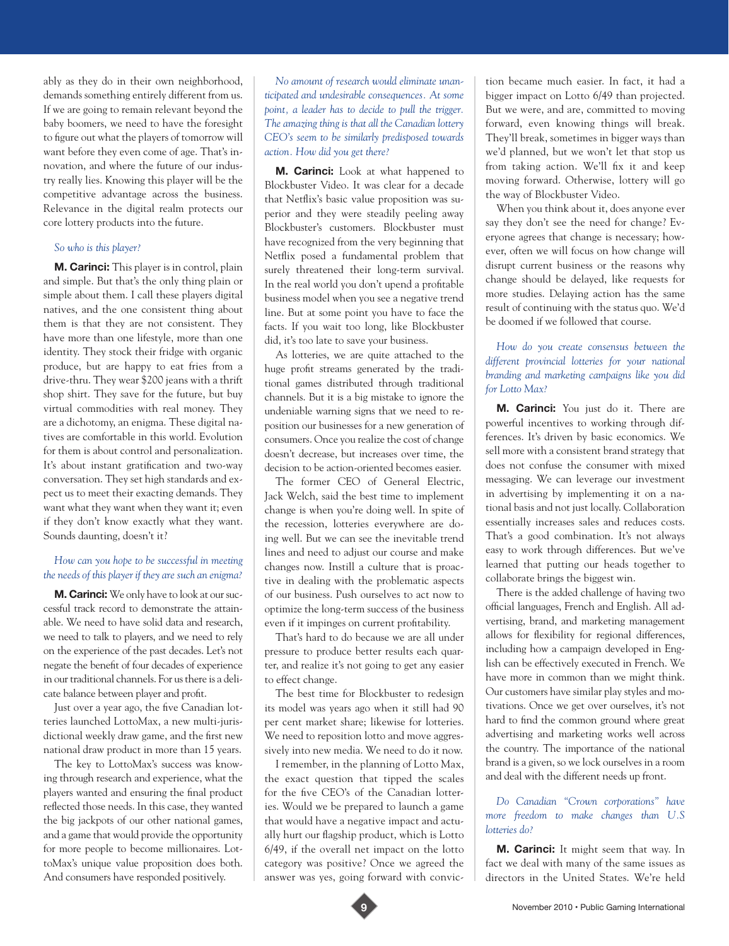ably as they do in their own neighborhood, demands something entirely different from us. If we are going to remain relevant beyond the baby boomers, we need to have the foresight to figure out what the players of tomorrow will want before they even come of age. That's innovation, and where the future of our industry really lies. Knowing this player will be the competitive advantage across the business. Relevance in the digital realm protects our core lottery products into the future.

#### *So who is this player?*

**M. Carinci:** This player is in control, plain and simple. But that's the only thing plain or simple about them. I call these players digital natives, and the one consistent thing about them is that they are not consistent. They have more than one lifestyle, more than one identity. They stock their fridge with organic produce, but are happy to eat fries from a drive-thru. They wear \$200 jeans with a thrift shop shirt. They save for the future, but buy virtual commodities with real money. They are a dichotomy, an enigma. These digital natives are comfortable in this world. Evolution for them is about control and personalization. It's about instant gratification and two-way conversation. They set high standards and expect us to meet their exacting demands. They want what they want when they want it; even if they don't know exactly what they want. Sounds daunting, doesn't it?

#### *How can you hope to be successful in meeting the needs of this player if they are such an enigma?*

**M. Carinci:** We only have to look at our successful track record to demonstrate the attainable. We need to have solid data and research, we need to talk to players, and we need to rely on the experience of the past decades. Let's not negate the benefit of four decades of experience in our traditional channels. For us there is a delicate balance between player and profit.

Just over a year ago, the five Canadian lotteries launched LottoMax, a new multi-jurisdictional weekly draw game, and the first new national draw product in more than 15 years.

The key to LottoMax's success was knowing through research and experience, what the players wanted and ensuring the final product reflected those needs. In this case, they wanted the big jackpots of our other national games, and a game that would provide the opportunity for more people to become millionaires. LottoMax's unique value proposition does both. And consumers have responded positively.

*No amount of research would eliminate unanticipated and undesirable consequences. At some point, a leader has to decide to pull the trigger. The amazing thing is that all the Canadian lottery CEO's seem to be similarly predisposed towards action. How did you get there?* 

**M. Carinci:** Look at what happened to Blockbuster Video. It was clear for a decade that Netflix's basic value proposition was superior and they were steadily peeling away Blockbuster's customers. Blockbuster must have recognized from the very beginning that Netflix posed a fundamental problem that surely threatened their long-term survival. In the real world you don't upend a profitable business model when you see a negative trend line. But at some point you have to face the facts. If you wait too long, like Blockbuster did, it's too late to save your business.

As lotteries, we are quite attached to the huge profit streams generated by the traditional games distributed through traditional channels. But it is a big mistake to ignore the undeniable warning signs that we need to reposition our businesses for a new generation of consumers. Once you realize the cost of change doesn't decrease, but increases over time, the decision to be action-oriented becomes easier.

The former CEO of General Electric, Jack Welch, said the best time to implement change is when you're doing well. In spite of the recession, lotteries everywhere are doing well. But we can see the inevitable trend lines and need to adjust our course and make changes now. Instill a culture that is proactive in dealing with the problematic aspects of our business. Push ourselves to act now to optimize the long-term success of the business even if it impinges on current profitability.

That's hard to do because we are all under pressure to produce better results each quarter, and realize it's not going to get any easier to effect change.

The best time for Blockbuster to redesign its model was years ago when it still had 90 per cent market share; likewise for lotteries. We need to reposition lotto and move aggressively into new media. We need to do it now.

I remember, in the planning of Lotto Max, the exact question that tipped the scales for the five CEO's of the Canadian lotteries. Would we be prepared to launch a game that would have a negative impact and actually hurt our flagship product, which is Lotto 6/49, if the overall net impact on the lotto category was positive? Once we agreed the answer was yes, going forward with convic-

tion became much easier. In fact, it had a bigger impact on Lotto 6/49 than projected. But we were, and are, committed to moving forward, even knowing things will break. They'll break, sometimes in bigger ways than we'd planned, but we won't let that stop us from taking action. We'll fix it and keep moving forward. Otherwise, lottery will go the way of Blockbuster Video.

When you think about it, does anyone ever say they don't see the need for change? Everyone agrees that change is necessary; however, often we will focus on how change will disrupt current business or the reasons why change should be delayed, like requests for more studies. Delaying action has the same result of continuing with the status quo. We'd be doomed if we followed that course.

#### *How do you create consensus between the different provincial lotteries for your national branding and marketing campaigns like you did for Lotto Max?*

**M. Carinci:** You just do it. There are powerful incentives to working through differences. It's driven by basic economics. We sell more with a consistent brand strategy that does not confuse the consumer with mixed messaging. We can leverage our investment in advertising by implementing it on a national basis and not just locally. Collaboration essentially increases sales and reduces costs. That's a good combination. It's not always easy to work through differences. But we've learned that putting our heads together to collaborate brings the biggest win.

There is the added challenge of having two official languages, French and English. All advertising, brand, and marketing management allows for flexibility for regional differences, including how a campaign developed in English can be effectively executed in French. We have more in common than we might think. Our customers have similar play styles and motivations. Once we get over ourselves, it's not hard to find the common ground where great advertising and marketing works well across the country. The importance of the national brand is a given, so we lock ourselves in a room and deal with the different needs up front.

### *Do Canadian "Crown corporations" have more freedom to make changes than U.S lotteries do?*

**M. Carinci:** It might seem that way. In fact we deal with many of the same issues as directors in the United States. We're held